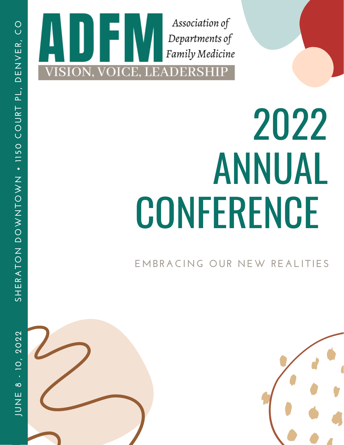

### 2 0 2 2 ANNUAL CONFERENCE

**E M B R A CIN G O U R N E W R E A LITIE S**



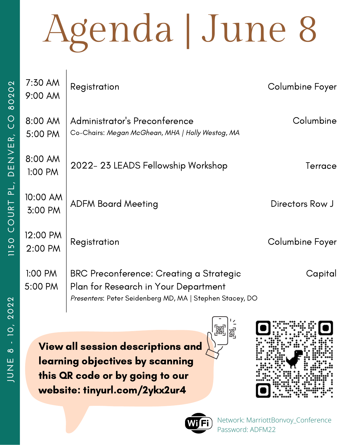| $7:30$ AM<br>9:00 AM | Registration                                                                                                                                | Columbine Foyer |
|----------------------|---------------------------------------------------------------------------------------------------------------------------------------------|-----------------|
| 8:00 AM<br>5:00 PM   | Administrator's Preconference<br>Co-Chairs: Megan McGhean, MHA   Holly Westog, MA                                                           | Columbine       |
| 8:00 AM<br>$1:00$ PM | 2022-23 LEADS Fellowship Workshop                                                                                                           | Terrace         |
| 10:00 AM<br>3:00 PM  | <b>ADFM Board Meeting</b>                                                                                                                   | Directors Row J |
| 12:00 PM<br>2:00 PM  | Registration                                                                                                                                | Columbine Foyer |
| 1:00 PM<br>5:00 PM   | BRC Preconference: Creating a Strategic<br>Plan for Research in Your Department<br>Presenters: Peter Seidenberg MD, MA   Stephen Stacey, DO | Capital         |
|                      |                                                                                                                                             |                 |

View all session descriptions and learning objectives by scanning this QR code or by going to our website: tinyurl.com/2ykx2ur4







Network: MarriottBonvoy\_Conference Password: ADFM22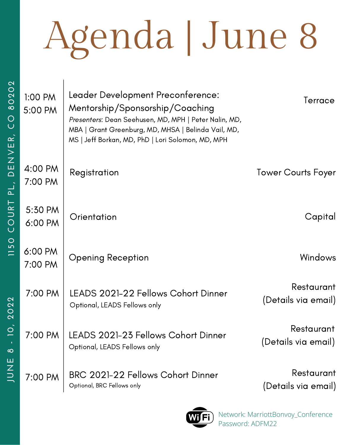| CO 80202    | 1:00 PM<br>5:00 PM | Leader Development Preconference:<br>Mentorship/Sponsorship/Coaching<br>Presenters: Dean Seehusen, MD, MPH   Peter Nalin, MD,<br>MBA   Grant Greenburg, MD, MHSA   Belinda Vail, MD,<br>MS   Jeff Borkan, MD, PhD   Lori Solomon, MD, MPH | Terrace                           |
|-------------|--------------------|-------------------------------------------------------------------------------------------------------------------------------------------------------------------------------------------------------------------------------------------|-----------------------------------|
| DENVER,     | 4:00 PM<br>7:00 PM | Registration                                                                                                                                                                                                                              | <b>Tower Courts Foyer</b>         |
| COURT PL,   | 5:30 PM<br>6:00 PM | Orientation                                                                                                                                                                                                                               | Capital                           |
| <b>1150</b> | 6:00 PM<br>7:00 PM | <b>Opening Reception</b>                                                                                                                                                                                                                  | <b>Windows</b>                    |
| 2022        | 7:00 PM            | LEADS 2021-22 Fellows Cohort Dinner<br>Optional, LEADS Fellows only                                                                                                                                                                       | Restaurant<br>(Details via email) |
| ဆ           | 7:00 PM            | LEADS 2021-23 Fellows Cohort Dinner<br>Optional, LEADS Fellows only                                                                                                                                                                       | Restaurant<br>(Details via email) |
| <b>HNNL</b> | 7:00 PM            | BRC 2021-22 Fellows Cohort Dinner<br>Optional, BRC Fellows only                                                                                                                                                                           | Restaurant<br>(Details via email) |



Network: MarriottBonvoy\_Conference Password: ADFM22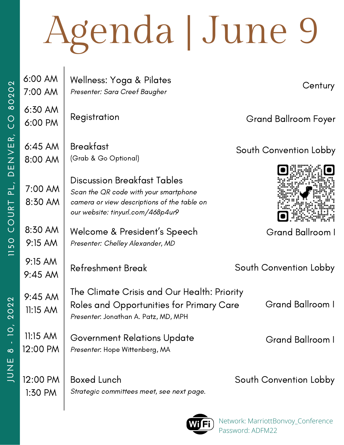| $\mathbf{\Omega}$<br>$\overline{Q}$ | 6:00 AM<br>7:00 AM     | Wellness: Yoga & Pilates<br>Presenter: Sara Creef Baugher                                                                                                       | Century                     |
|-------------------------------------|------------------------|-----------------------------------------------------------------------------------------------------------------------------------------------------------------|-----------------------------|
| $\overline{8}$<br>$\overline{C}$    | 6:30 AM<br>6:00 PM     | Registration                                                                                                                                                    | <b>Grand Ballroom Foyer</b> |
| DENVER,                             | $6:45$ AM<br>8:00 AM   | <b>Breakfast</b><br>(Grab & Go Optional)                                                                                                                        | South Convention Lobby      |
| َ بے<br>COURT                       | 7:00 AM<br>8:30 AM     | <b>Discussion Breakfast Tables</b><br>Scan the OR code with your smartphone<br>camera or view descriptions of the table on<br>our website: tinyurl.com/468p4ur9 |                             |
| 50                                  | 8:30 AM<br>9:15 AM     | Welcome & President's Speech<br>Presenter: Chelley Alexander, MD                                                                                                | <b>Grand Ballroom I</b>     |
| $\equiv$                            | 9:15 AM<br>9:45 AM     | <b>Refreshment Break</b>                                                                                                                                        | South Convention Lobby      |
| <b>2022</b>                         | 9:45 AM<br>11:15 AM    | The Climate Crisis and Our Health: Priority<br>Roles and Opportunities for Primary Care<br>Presenter: Jonathan A. Patz, MD, MPH                                 | <b>Grand Ballroom I</b>     |
| $\overline{O}$<br>ၹ                 | $11:15$ AM<br>12:00 PM | Government Relations Update<br>Presenter: Hope Wittenberg, MA                                                                                                   | Grand Ballroom I            |
| JUNE                                | 12:00 PM<br>1:30 PM    | <b>Boxed Lunch</b><br>Strategic committees meet, see next page.                                                                                                 | South Convention Lobby      |



 $\overline{\phantom{a}}$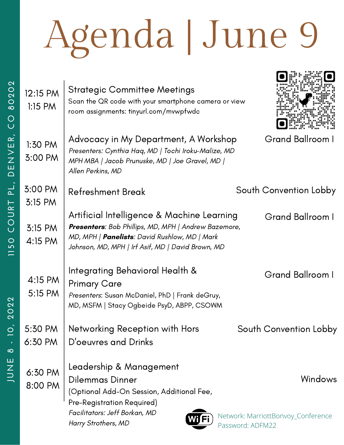**A Decision** 

| 202<br>$\circ$<br>$\infty$<br>$\bigcirc$ | 12:15 PM<br>$1:15$ PM | <b>Strategic Committee Meetings</b><br>Scan the QR code with your smartphone camera or view<br>room assignments: tinyurl.com/mvwpfwdc                                                                    |                                                                          |
|------------------------------------------|-----------------------|----------------------------------------------------------------------------------------------------------------------------------------------------------------------------------------------------------|--------------------------------------------------------------------------|
| DENVER,                                  | 1:30 PM<br>3:00 PM    | Advocacy in My Department, A Workshop<br>Presenters: Cynthia Haq, MD   Tochi Iroku-Malize, MD<br>MPH MBA   Jacob Prunuske, MD   Joe Gravel, MD  <br>Allen Perkins, MD                                    | <b>Grand Ballroom I</b>                                                  |
| $\frac{1}{2}$                            | 3:00 PM<br>3:15 PM    | <b>Refreshment Break</b>                                                                                                                                                                                 | South Convention Lobby                                                   |
| COURT<br><b>1150</b>                     | 3:15 PM<br>4:15 PM    | Artificial Intelligence & Machine Learning<br>Presenters: Bob Phillips, MD, MPH   Andrew Bazemore,<br>MD, MPH   Panelists: David Rushlow, MD   Mark<br>Johnson, MD, MPH   Irf Asif, MD   David Brown, MD | Grand Ballroom I                                                         |
| <b>2022</b>                              | 4:15 PM<br>5:15 PM    | Integrating Behavioral Health &<br><b>Primary Care</b><br>Presenters: Susan McDaniel, PhD   Frank deGruy,<br>MD, MSFM   Stacy Ogbeide PsyD, ABPP, CSOWM                                                  | <b>Grand Ballroom I</b>                                                  |
|                                          | 5:30 PM               | Networking Reception with Hors                                                                                                                                                                           | South Convention Lobby                                                   |
| ထ                                        | 6:30 PM               | D'oeuvres and Drinks                                                                                                                                                                                     |                                                                          |
| コココ                                      | 6:30 PM<br>8:00 PM    | Leadership & Management<br>Dilemmas Dinner<br>(Optional Add-On Session, Additional Fee,<br>Pre-Registration Required)<br>Facilitators: Jeff Borkan, MD<br>Fi<br>Harry Strothers, MD                      | <b>Windows</b><br>Network: MarriottBonvoy_Conference<br>Password: ADFM22 |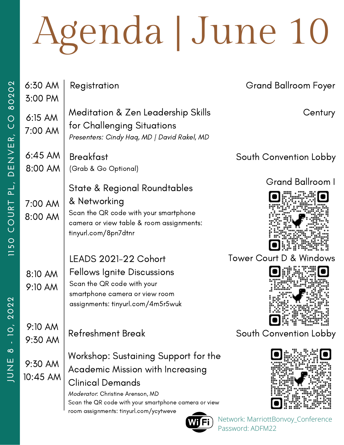| $\mathbf{C}$<br>$\circ$<br>8 O 2         | 6:30 AM<br>3:00 PM   | Registration                                                                                                                                                                                    | <b>Grand Ballroom Foyer</b>        |
|------------------------------------------|----------------------|-------------------------------------------------------------------------------------------------------------------------------------------------------------------------------------------------|------------------------------------|
| OU                                       | 6:15 AM<br>7:00 AM   | Meditation & Zen Leadership Skills<br>for Challenging Situations<br>Presenters: Cindy Haq, MD   David Rakel, MD                                                                                 | Century                            |
| DENVER,                                  | $6:45$ AM<br>8:00 AM | <b>Breakfast</b><br>(Grab & Go Optional)                                                                                                                                                        | South Convention Lobby             |
| $\overline{P}$ .<br>COURT<br><b>1150</b> | 7:00 AM<br>8:00 AM   | State & Regional Roundtables<br>& Networking<br>Scan the QR code with your smartphone<br>camera or view table & room assignments:<br>tinyurl.com/8pn7dtnr                                       | Grand Ballroom I                   |
| $\frac{2}{3}$<br>O<br>Q                  | 8:10 AM<br>9:10 AM   | LEADS 2021-22 Cohort<br><b>Fellows Ignite Discussions</b><br>Scan the QR code with your<br>smartphone camera or view room<br>assignments: tinyurl.com/4m5r5wuk                                  | Tower Court D & Windows            |
| $\circ$                                  | 9:10 AM<br>9:30 AM   | <b>Refreshment Break</b>                                                                                                                                                                        | South Convention Lobby             |
| $\infty$<br>JUNE<br>D                    | 9:30 AM<br>10:45 AM  | Workshop: Sustaining Support for the<br>Academic Mission with Increasing<br><b>Clinical Demands</b><br>Moderator: Christine Arenson, MD<br>Scan the QR code with your smartphone camera or view |                                    |
|                                          |                      | room assignments: tinyurl.com/ycytweve                                                                                                                                                          | Network: MarriottBonvoy_Conference |

Password: ADFM22

WD FI J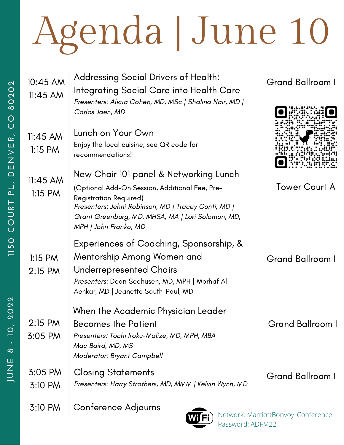| 10:45 AM<br>$11:45$ AM  | Addressing Social Drivers of Health:<br>Integrating Social Care into Health Care<br>Presenters: Alicia Cohen, MD, MSc   Shalina Nair, MD  <br>Carlos Jaen, MD                                                        | Grand Ballroom I                   |
|-------------------------|----------------------------------------------------------------------------------------------------------------------------------------------------------------------------------------------------------------------|------------------------------------|
| $11:45$ AM<br>$1:15$ PM | Lunch on Your Own<br>Enjoy the local cuisine, see QR code for<br>recommendations!                                                                                                                                    |                                    |
| $11:45$ AM              | New Chair 101 panel & Networking Lunch                                                                                                                                                                               |                                    |
| $1:15$ PM               | (Optional Add-On Session, Additional Fee, Pre-<br><b>Registration Required)</b><br>Presenters: Jehni Robinson, MD   Tracey Conti, MD  <br>Grant Greenburg, MD, MHSA, MA   Lori Solomon, MD,<br>MPH   John Franko, MD | <b>Tower Court A</b>               |
| $1:15$ PM<br>$2:15$ PM  | Experiences of Coaching, Sponsorship, &<br>Mentorship Among Women and<br>Underrepresented Chairs<br>Presenters: Dean Seehusen, MD, MPH   Morhaf Al<br>Achkar, MD   Jeanette South-Paul, MD                           | <b>Grand Ballroom I</b>            |
| 2:15 PM<br>3:05 PM      | When the Academic Physician Leader<br><b>Becomes the Patient</b><br>Presenters: Tochi Iroku-Malize, MD, MPH, MBA<br>Mac Baird, MD, MS<br>Moderator: Bryant Campbell                                                  | Grand Ballroom I                   |
| $3:05$ PM<br>3:10 PM    | <b>Closing Statements</b><br>Presenters: Harry Strothers, MD, MMM   Kelvin Wynn, MD                                                                                                                                  | Grand Ballroom I                   |
| 3:10 PM                 | Conference Adjourns<br><b>AMTE:</b>                                                                                                                                                                                  | Network: MarriottBonvoy_Conference |

Password: ADFM22